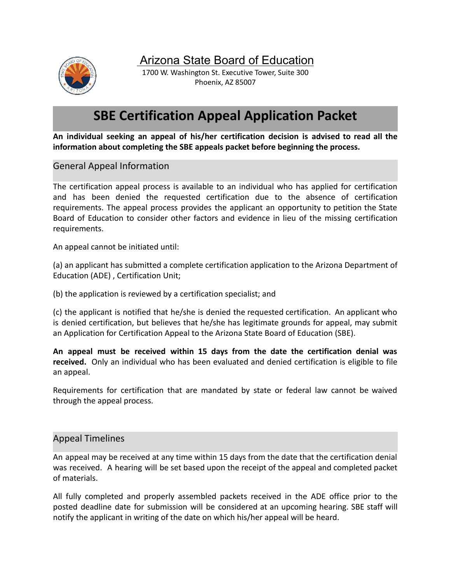

Arizona State Board of Education

1700 W. Washington St. Executive Tower, Suite 300 Phoenix, AZ 85007

### **SBE Certification Appeal Application Packet**

**An individual seeking an appeal of his/her certification decision is advised to read all the information about completing the SBE appeals packet before beginning the process.**

General Appeal Information

The certification appeal process is available to an individual who has applied for certification and has been denied the requested certification due to the absence of certification requirements. The appeal process provides the applicant an opportunity to petition the State Board of Education to consider other factors and evidence in lieu of the missing certification requirements.

An appeal cannot be initiated until:

(a) an applicant has submitted a complete certification application to the Arizona Department of Education (ADE) , Certification Unit;

(b) the application is reviewed by a certification specialist; and

(c) the applicant is notified that he/she is denied the requested certification. An applicant who is denied certification, but believes that he/she has legitimate grounds for appeal, may submit an Application for Certification Appeal to the Arizona State Board of Education (SBE).

**An appeal must be received within 15 days from the date the certification denial was received.** Only an individual who has been evaluated and denied certification is eligible to file an appeal.

Requirements for certification that are mandated by state or federal law cannot be waived through the appeal process.

#### Appeal Timelines

An appeal may be received at any time within 15 days from the date that the certification denial was received. A hearing will be set based upon the receipt of the appeal and completed packet of materials.

All fully completed and properly assembled packets received in the ADE office prior to the posted deadline date for submission will be considered at an upcoming hearing. SBE staff will notify the applicant in writing of the date on which his/her appeal will be heard.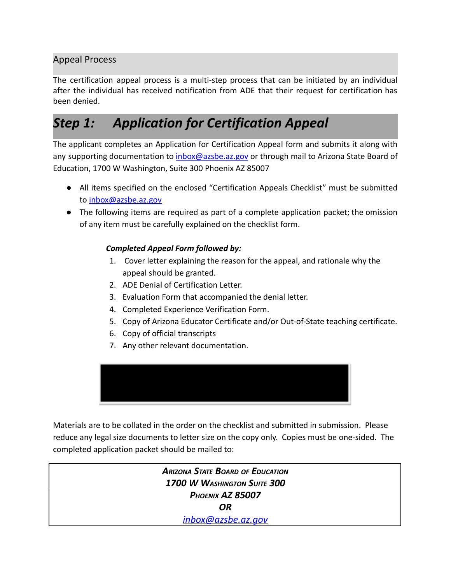### Appeal Process

The certification appeal process is a multi-step process that can be initiated by an individual after the individual has received notification from ADE that their request for certification has been denied.

## *Step 1: Application for Certification Appeal*

The applicant completes an Application for Certification Appeal form and submits it along with any supporting documentation to [inbox@azsbe.az.gov](mailto:inbox@azsbe.az.gov) or through mail to Arizona State Board of Education, 1700 W Washington, Suite 300 Phoenix AZ 85007

- All items specified on the enclosed "Certification Appeals Checklist" must be submitted to [inbox@azsbe.az.gov](mailto:inbox@azsbe.az.gov)
- The following items are required as part of a complete application packet; the omission of any item must be carefully explained on the checklist form.

#### *Completed Appeal Form followed by:*

- 1. Cover letter explaining the reason for the appeal, and rationale why the appeal should be granted.
- 2. ADE Denial of Certification Letter.
- 3. Evaluation Form that accompanied the denial letter.
- 4. Completed Experience Verification Form.
- 5. Copy of Arizona Educator Certificate and/or Out-of-State teaching certificate.
- 6. Copy of official transcripts
- 7. Any other relevant documentation.



Materials are to be collated in the order on the checklist and submitted in submission. Please reduce any legal size documents to letter size on the copy only. Copies must be one-sided. The completed application packet should be mailed to:

> *ARIZONA STATE BOARD OF EDUCATION 1700 W WASHINGTON SUITE 300 PHOENIX AZ 85007 OR [inbox@azsbe.az.gov](mailto:inbox@azsbe.az.gov)*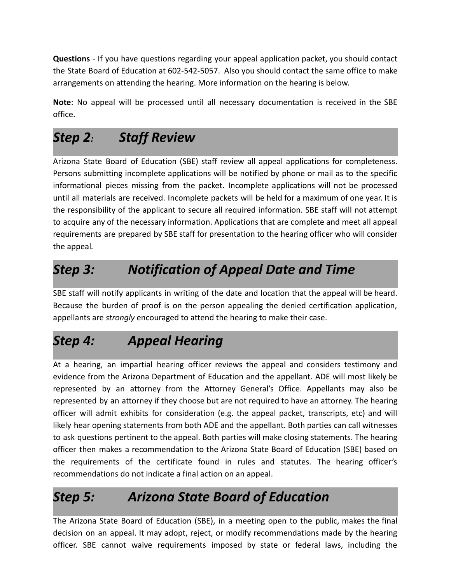**Questions** - If you have questions regarding your appeal application packet, you should contact the State Board of Education at 602-542-5057. Also you should contact the same office to make arrangements on attending the hearing. More information on the hearing is below.

**Note**: No appeal will be processed until all necessary documentation is received in the SBE office.

# *Step 2: Staff Review*

Arizona State Board of Education (SBE) staff review all appeal applications for completeness. Persons submitting incomplete applications will be notified by phone or mail as to the specific informational pieces missing from the packet. Incomplete applications will not be processed until all materials are received. Incomplete packets will be held for a maximum of one year. It is the responsibility of the applicant to secure all required information. SBE staff will not attempt to acquire any of the necessary information. Applications that are complete and meet all appeal requirements are prepared by SBE staff for presentation to the hearing officer who will consider the appeal*.*

## *Step 3: Notification of Appeal Date and Time*

SBE staff will notify applicants in writing of the date and location that the appeal will be heard. Because the burden of proof is on the person appealing the denied certification application, appellants are *strongly* encouraged to attend the hearing to make their case.

# *Step 4: Appeal Hearing*

At a hearing, an impartial hearing officer reviews the appeal and considers testimony and evidence from the Arizona Department of Education and the appellant. ADE will most likely be represented by an attorney from the Attorney General's Office. Appellants may also be represented by an attorney if they choose but are not required to have an attorney. The hearing officer will admit exhibits for consideration (e.g. the appeal packet, transcripts, etc) and will likely hear opening statements from both ADE and the appellant. Both parties can call witnesses to ask questions pertinent to the appeal. Both parties will make closing statements. The hearing officer then makes a recommendation to the Arizona State Board of Education (SBE) based on the requirements of the certificate found in rules and statutes. The hearing officer's recommendations do not indicate a final action on an appeal.

## *Step 5: Arizona State Board of Education*

The Arizona State Board of Education (SBE), in a meeting open to the public, makes the final decision on an appeal. It may adopt, reject, or modify recommendations made by the hearing officer. SBE cannot waive requirements imposed by state or federal laws, including the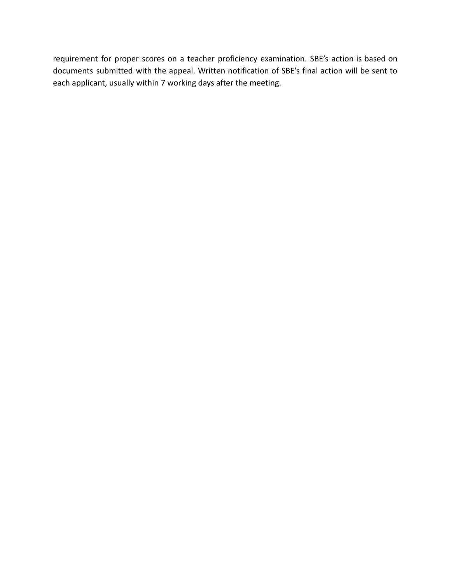requirement for proper scores on a teacher proficiency examination. SBE's action is based on documents submitted with the appeal. Written notification of SBE's final action will be sent to each applicant, usually within 7 working days after the meeting.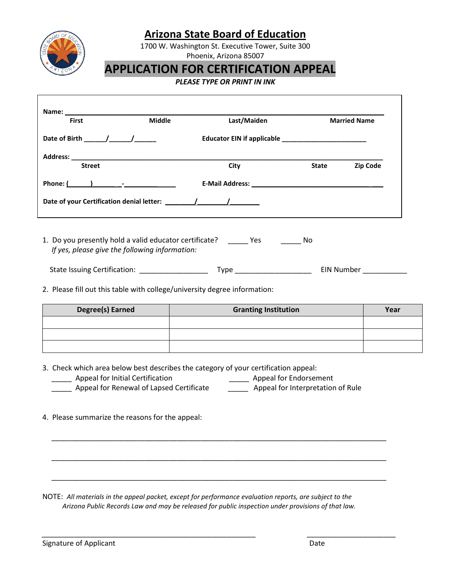

### **Arizona State Board of Education**

1700 W. Washington St. Executive Tower, Suite 300 Phoenix, Arizona 85007

## **APPLICATION FOR CERTIFICATION APPEAL**

#### *PLEASE TYPE OR PRINT IN INK*

| <b>First</b>                                                                                             | <b>Middle</b> | Last/Maiden |              | <b>Married Name</b> |
|----------------------------------------------------------------------------------------------------------|---------------|-------------|--------------|---------------------|
|                                                                                                          |               |             |              |                     |
| <b>Street</b>                                                                                            |               | City        | <b>State</b> | <b>Zip Code</b>     |
| Phone: $($ $)$ $ -$                                                                                      |               |             |              |                     |
|                                                                                                          |               |             |              |                     |
|                                                                                                          |               |             |              |                     |
| 1. Do you presently hold a valid educator certificate?<br>If yes, please give the following information: |               |             | No           |                     |

State Issuing Certification: \_\_\_\_\_\_\_\_\_\_\_\_\_\_\_\_\_ Type \_\_\_\_\_\_\_\_\_\_\_\_\_\_\_\_\_\_\_ EIN Number \_\_\_\_\_\_\_\_\_\_\_

2. Please fill out this table with college/university degree information:

| Degree(s) Earned | <b>Granting Institution</b> | Year |
|------------------|-----------------------------|------|
|                  |                             |      |
|                  |                             |      |
|                  |                             |      |

3. Check which area below best describes the category of your certification appeal:

- \_\_\_\_\_ Appeal for Initial Certification \_\_\_\_\_ Appeal for Endorsement
- \_\_\_\_\_ Appeal for Renewal of Lapsed Certificate \_\_\_\_\_\_\_ Appeal for Interpretation of Rule

\_\_\_\_\_\_\_\_\_\_\_\_\_\_\_\_\_\_\_\_\_\_\_\_\_\_\_\_\_\_\_\_\_\_\_\_\_\_\_\_\_\_\_\_\_\_\_\_\_\_\_\_\_\_\_\_\_\_\_\_\_\_\_\_\_\_\_\_\_\_\_\_\_\_\_\_\_\_\_\_\_\_\_

\_\_\_\_\_\_\_\_\_\_\_\_\_\_\_\_\_\_\_\_\_\_\_\_\_\_\_\_\_\_\_\_\_\_\_\_\_\_\_\_\_\_\_\_\_\_\_\_\_\_\_\_\_\_\_\_\_\_\_\_\_\_\_\_\_\_\_\_\_\_\_\_\_\_\_\_\_\_\_\_\_\_\_

\_\_\_\_\_\_\_\_\_\_\_\_\_\_\_\_\_\_\_\_\_\_\_\_\_\_\_\_\_\_\_\_\_\_\_\_\_\_\_\_\_\_\_\_\_\_\_\_\_\_\_\_\_\_\_\_\_\_\_\_\_\_\_\_\_\_\_\_\_\_\_\_\_\_\_\_\_\_\_\_\_\_\_

*\_\_\_\_\_\_\_\_\_\_\_\_\_\_\_\_\_\_\_\_\_\_\_\_\_\_\_\_\_\_\_\_\_\_\_\_\_\_\_\_\_\_\_\_\_\_\_\_\_\_\_\_\_ \_\_\_\_\_\_\_\_\_\_\_\_\_\_\_\_\_\_\_\_\_\_*

4. Please summarize the reasons for the appeal:

NOTE: *All materials in the appeal packet, except for performance evaluation reports, are subject to the Arizona Public Records Law and may be released for public inspection under provisions of that law.*